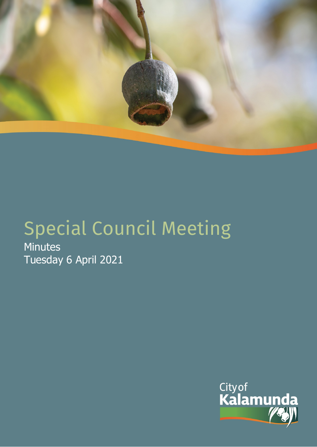

# Special Council Meeting **Minutes**

Tuesday 6 April 2021

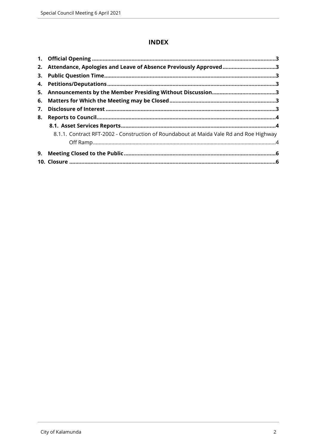# **INDEX**

|    | 2. Attendance, Apologies and Leave of Absence Previously Approved3                     |  |  |  |
|----|----------------------------------------------------------------------------------------|--|--|--|
| 3. |                                                                                        |  |  |  |
|    |                                                                                        |  |  |  |
|    |                                                                                        |  |  |  |
|    |                                                                                        |  |  |  |
| 7. |                                                                                        |  |  |  |
| 8. |                                                                                        |  |  |  |
|    |                                                                                        |  |  |  |
|    | 8.1.1. Contract RFT-2002 - Construction of Roundabout at Maida Vale Rd and Roe Highway |  |  |  |
|    |                                                                                        |  |  |  |
| 9. |                                                                                        |  |  |  |
|    |                                                                                        |  |  |  |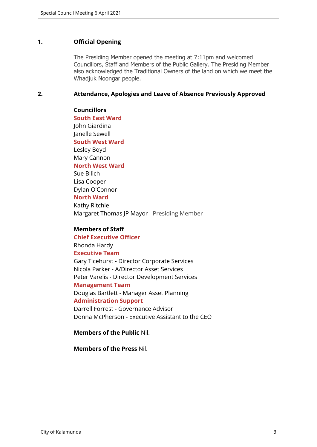#### <span id="page-2-0"></span>**1. Official Opening**

The Presiding Member opened the meeting at 7:11pm and welcomed Councillors, Staff and Members of the Public Gallery. The Presiding Member also acknowledged the Traditional Owners of the land on which we meet the Whadjuk Noongar people.

#### <span id="page-2-1"></span>**2. Attendance, Apologies and Leave of Absence Previously Approved**

**Councillors South East Ward**  John Giardina Janelle Sewell **South West Ward** Lesley Boyd Mary Cannon **North West Ward** Sue Bilich Lisa Cooper Dylan O'Connor **North Ward** Kathy Ritchie Margaret Thomas JP Mayor - Presiding Member

#### **Members of Staff**

**Chief Executive Officer** Rhonda Hardy **Executive Team** Gary Ticehurst - Director Corporate Services Nicola Parker - A/Director Asset Services Peter Varelis - Director Development Services **Management Team** Douglas Bartlett - Manager Asset Planning **Administration Support**  Darrell Forrest - Governance Advisor Donna McPherson - Executive Assistant to the CEO

**Members of the Public** Nil.

**Members of the Press** Nil.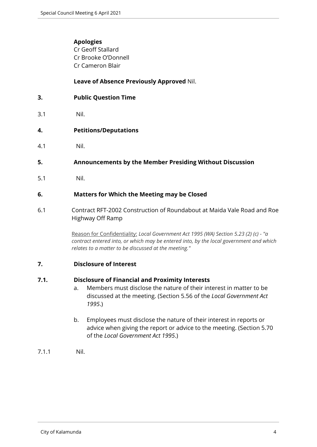## **Apologies**

Cr Geoff Stallard Cr Brooke O'Donnell Cr Cameron Blair

# **Leave of Absence Previously Approved** Nil.

<span id="page-3-0"></span>

| <b>Public Question Time</b> |
|-----------------------------|
|                             |

3.1 Nil.

## <span id="page-3-1"></span>**4. Petitions/Deputations**

4.1 Nil.

## <span id="page-3-2"></span>**5. Announcements by the Member Presiding Without Discussion**

5.1 Nil.

## <span id="page-3-3"></span>**6. Matters for Which the Meeting may be Closed**

6.1 Contract RFT-2002 Construction of Roundabout at Maida Vale Road and Roe Highway Off Ramp

> Reason for Confidentiality: *Local Government Act 1995 (WA) Section 5.23 (2) (c) - "a contract entered into, or which may be entered into, by the local government and which relates to a matter to be discussed at the meeting."*

## <span id="page-3-4"></span>**7. Disclosure of Interest**

## **7.1. Disclosure of Financial and Proximity Interests**

- a. Members must disclose the nature of their interest in matter to be discussed at the meeting. (Section 5.56 of the *Local Government Act 1995*.)
- b. Employees must disclose the nature of their interest in reports or advice when giving the report or advice to the meeting. (Section 5.70 of the *Local Government Act 1995*.)
- 7.1.1 Nil.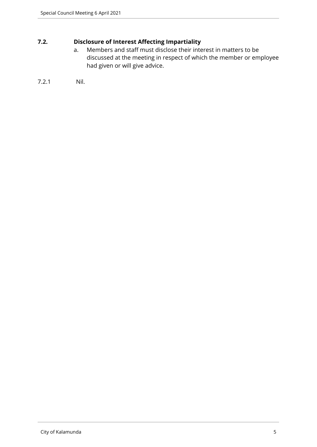# **7.2. Disclosure of Interest Affecting Impartiality**

a. Members and staff must disclose their interest in matters to be discussed at the meeting in respect of which the member or employee had given or will give advice.

```
7.2.1 Nil.
```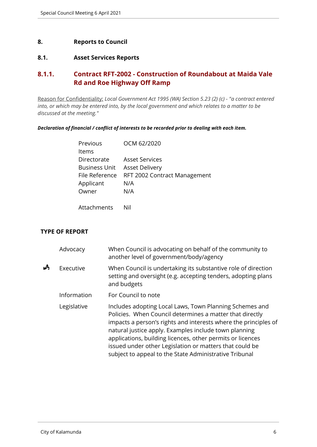#### <span id="page-5-0"></span>**8. Reports to Council**

#### <span id="page-5-1"></span>**8.1. Asset Services Reports**

# <span id="page-5-2"></span>**8.1.1. Contract RFT-2002 - Construction of Roundabout at Maida Vale Rd and Roe Highway Off Ramp**

Reason for Confidentiality: *Local Government Act 1995 (WA) Section 5.23 (2) (c) - "a contract entered into, or which may be entered into, by the local government and which relates to a matter to be discussed at the meeting."*

*Declaration of financial / conflict of interests to be recorded prior to dealing with each item.*

| Previous             | OCM 62/2020                  |
|----------------------|------------------------------|
| Items                |                              |
| Directorate          | <b>Asset Services</b>        |
| <b>Business Unit</b> | <b>Asset Delivery</b>        |
| File Reference       | RFT 2002 Contract Management |
| Applicant            | N/A                          |
| Owner                | N/A                          |
|                      |                              |

Attachments Nil

## **TYPE OF REPORT**

|   | Advocacy    | When Council is advocating on behalf of the community to<br>another level of government/body/agency                                                                                                                                                                                                                                                                                                                                |
|---|-------------|------------------------------------------------------------------------------------------------------------------------------------------------------------------------------------------------------------------------------------------------------------------------------------------------------------------------------------------------------------------------------------------------------------------------------------|
| Å | Executive   | When Council is undertaking its substantive role of direction<br>setting and oversight (e.g. accepting tenders, adopting plans<br>and budgets                                                                                                                                                                                                                                                                                      |
|   | Information | For Council to note                                                                                                                                                                                                                                                                                                                                                                                                                |
|   | Legislative | Includes adopting Local Laws, Town Planning Schemes and<br>Policies. When Council determines a matter that directly<br>impacts a person's rights and interests where the principles of<br>natural justice apply. Examples include town planning<br>applications, building licences, other permits or licences<br>issued under other Legislation or matters that could be<br>subject to appeal to the State Administrative Tribunal |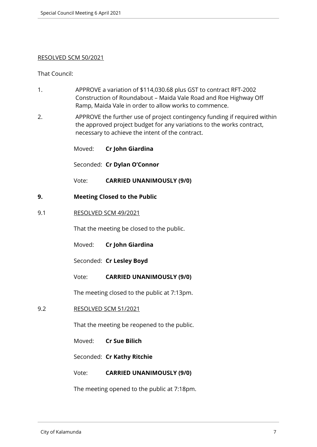#### RESOLVED SCM 50/2021

That Council:

- 1. APPROVE a variation of \$114,030.68 plus GST to contract RFT-2002 Construction of Roundabout – Maida Vale Road and Roe Highway Off Ramp, Maida Vale in order to allow works to commence.
- 2. APPROVE the further use of project contingency funding if required within the approved project budget for any variations to the works contract, necessary to achieve the intent of the contract.

Moved: **Cr John Giardina**

Seconded: **Cr Dylan O'Connor**

Vote: **CARRIED UNANIMOUSLY (9/0)**

- <span id="page-6-0"></span>**9. Meeting Closed to the Public**
- 9.1 RESOLVED SCM 49/2021

That the meeting be closed to the public.

Moved: **Cr John Giardina**

Seconded: **Cr Lesley Boyd**

Vote: **CARRIED UNANIMOUSLY (9/0)**

The meeting closed to the public at 7:13pm.

9.2 RESOLVED SCM 51/2021

That the meeting be reopened to the public.

Moved: **Cr Sue Bilich**

Seconded: **Cr Kathy Ritchie**

Vote: **CARRIED UNANIMOUSLY (9/0)**

The meeting opened to the public at 7:18pm.